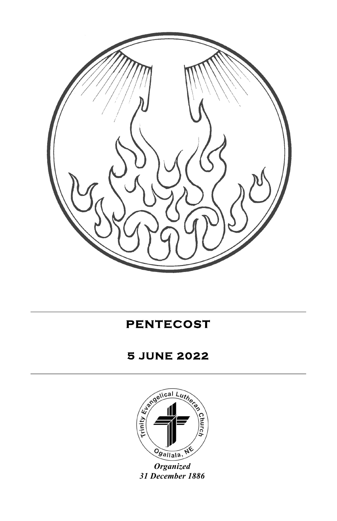

**PENTECOST** 

# **5 JUNE 2022**



*Organized 31 December 1886*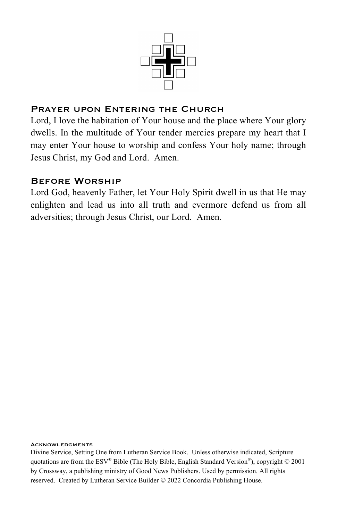

### PRAYER UPON ENTERING THE CHURCH

Lord, I love the habitation of Your house and the place where Your glory dwells. In the multitude of Your tender mercies prepare my heart that I may enter Your house to worship and confess Your holy name; through Jesus Christ, my God and Lord. Amen.

### Before Worship

Lord God, heavenly Father, let Your Holy Spirit dwell in us that He may enlighten and lead us into all truth and evermore defend us from all adversities; through Jesus Christ, our Lord. Amen.

#### **ACKNOWLEDGMENTS**

Divine Service, Setting One from Lutheran Service Book. Unless otherwise indicated, Scripture quotations are from the ESV<sup>®</sup> Bible (The Holy Bible, English Standard Version<sup>®</sup>), copyright © 2001 by Crossway, a publishing ministry of Good News Publishers. Used by permission. All rights reserved. Created by Lutheran Service Builder © 2022 Concordia Publishing House.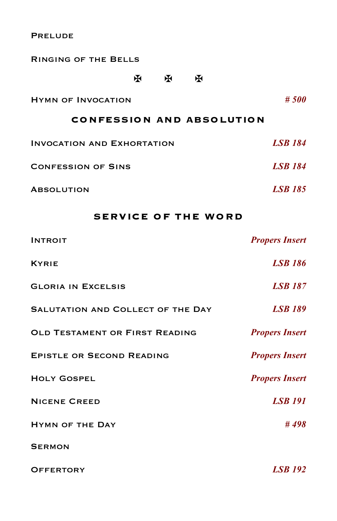**PRELUDE** 

| <b>RINGING OF THE BELLS</b>       |   |   |   |                |
|-----------------------------------|---|---|---|----------------|
|                                   | ж | ж | ж |                |
| <b>HYMN OF INVOCATION</b>         |   |   |   | #500           |
| <b>CONFESSION AND ABSOLUTION</b>  |   |   |   |                |
| <b>INVOCATION AND EXHORTATION</b> |   |   |   | <b>LSB 184</b> |
| <b>CONFESSION OF SINS</b>         |   |   |   | <b>LSB</b> 184 |
| <b>ABSOLUTION</b>                 |   |   |   | <b>LSB</b> 185 |

## **SERVICE OF THE WORD**

| <b>INTROIT</b>                    | <b>Propers Insert</b> |
|-----------------------------------|-----------------------|
| <b>KYRIE</b>                      | <b>LSB</b> 186        |
| <b>GLORIA IN EXCELSIS</b>         | <b>LSB 187</b>        |
| SALUTATION AND COLLECT OF THE DAY | <b>LSB 189</b>        |
| OLD TESTAMENT OR FIRST READING    | <b>Propers Insert</b> |
| <b>EPISTLE OR SECOND READING</b>  | <b>Propers Insert</b> |
| <b>HOLY GOSPEL</b>                | <b>Propers Insert</b> |
| <b>NICENE CREED</b>               | <b>LSB</b> 191        |
| <b>HYMN OF THE DAY</b>            | #498                  |
| <b>SERMON</b>                     |                       |
| <b>OFFERTORY</b>                  | <b>LSB</b> 192        |